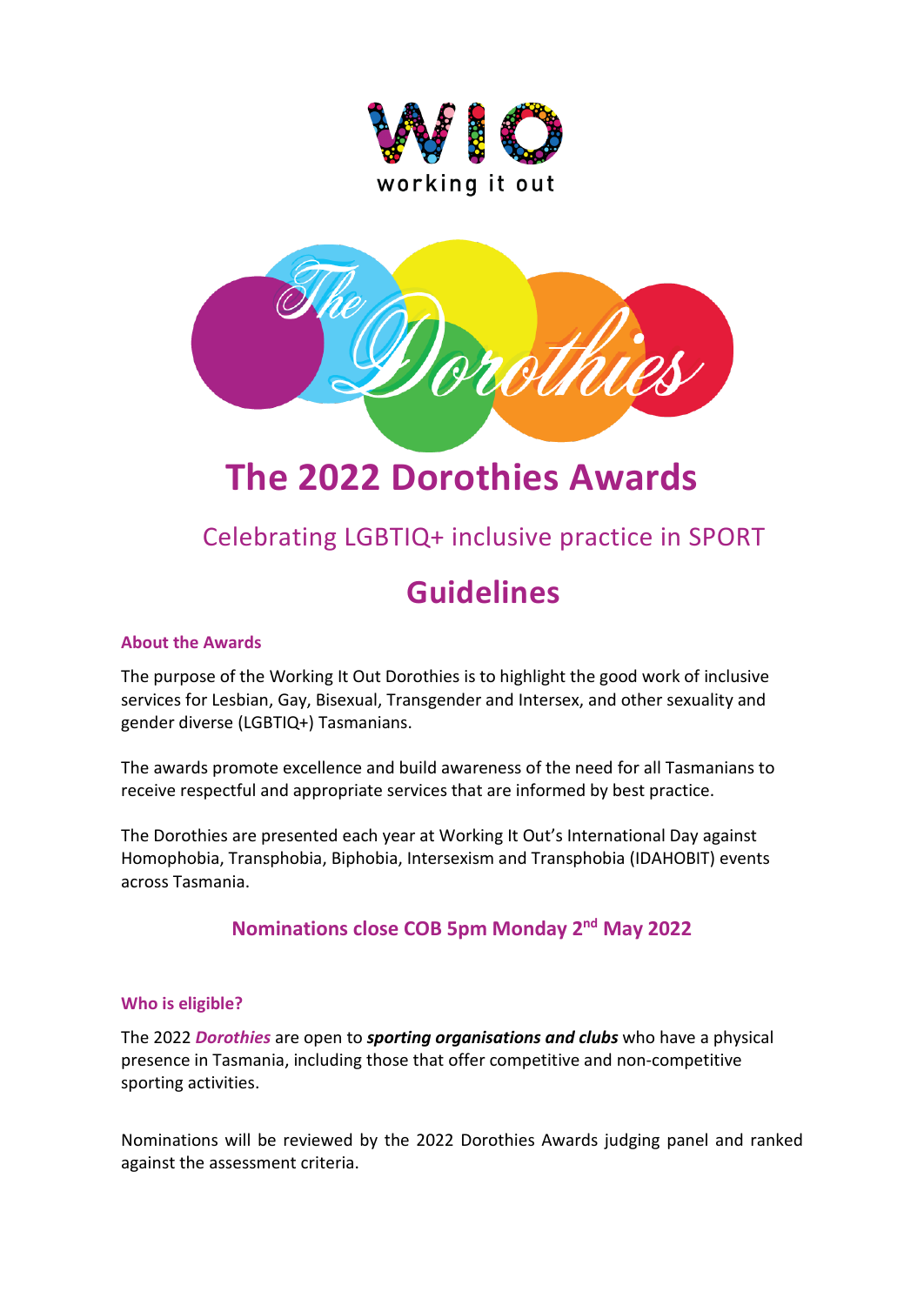



# **The 2022 Dorothies Awards**

# Celebrating LGBTIQ+ inclusive practice in SPORT

# **Guidelines**

## **About the Awards**

The purpose of the Working It Out Dorothies is to highlight the good work of inclusive services for Lesbian, Gay, Bisexual, Transgender and Intersex, and other sexuality and gender diverse (LGBTIQ+) Tasmanians.

The awards promote excellence and build awareness of the need for all Tasmanians to receive respectful and appropriate services that are informed by best practice.

The Dorothies are presented each year at Working It Out's International Day against Homophobia, Transphobia, Biphobia, Intersexism and Transphobia (IDAHOBIT) events across Tasmania.

# **Nominations close COB 5pm Monday 2nd May 2022**

#### **Who is eligible?**

The 2022 *Dorothies* are open to *sporting organisations and clubs* who have a physical presence in Tasmania, including those that offer competitive and non-competitive sporting activities.

Nominations will be reviewed by the 2022 Dorothies Awards judging panel and ranked against the assessment criteria.